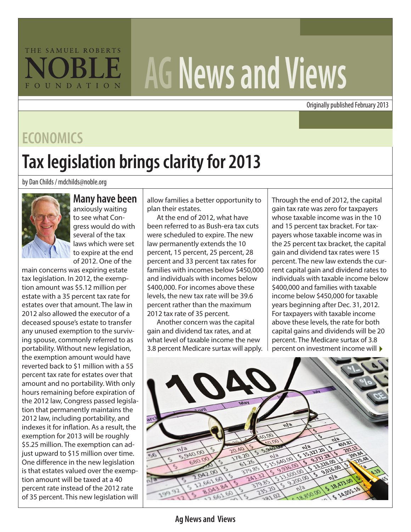## THE SAMUEL ROBERTS FOUNDATION

# **AG News and Views**

Originally published February 2013

#### **ECONOMICS**

# **Tax legislation brings clarity for 2013**

by Dan Childs / mdchilds@noble.org



#### **Many have been**

anxiously waiting to see what Congress would do with several of the tax laws which were set to expire at the end of 2012. One of the

main concerns was expiring estate tax legislation. In 2012, the exemption amount was \$5.12 million per estate with a 35 percent tax rate for estates over that amount. The law in 2012 also allowed the executor of a deceased spouse's estate to transfer any unused exemption to the surviving spouse, commonly referred to as portability. Without new legislation, the exemption amount would have reverted back to \$1 million with a 55 percent tax rate for estates over that amount and no portability. With only hours remaining before expiration of the 2012 law, Congress passed legislation that permanently maintains the 2012 law, including portability, and indexes it for inflation. As a result, the exemption for 2013 will be roughly \$5.25 million. The exemption can adjust upward to \$15 million over time. One difference in the new legislation is that estates valued over the exemption amount will be taxed at a 40 percent rate instead of the 2012 rate of 35 percent. This new legislation will

allow families a better opportunity to plan their estates.

At the end of 2012, what have been referred to as Bush-era tax cuts were scheduled to expire. The new law permanently extends the 10 percent, 15 percent, 25 percent, 28 percent and 33 percent tax rates for families with incomes below \$450,000 and individuals with incomes below \$400,000. For incomes above these levels, the new tax rate will be 39.6 percent rather than the maximum 2012 tax rate of 35 percent.

Another concern was the capital gain and dividend tax rates, and at what level of taxable income the new 3.8 percent Medicare surtax will apply.

percent on investment income will  $\blacktriangleright$ Through the end of 2012, the capital gain tax rate was zero for taxpayers whose taxable income was in the 10 and 15 percent tax bracket. For taxpayers whose taxable income was in the 25 percent tax bracket, the capital gain and dividend tax rates were 15 percent. The new law extends the current capital gain and dividend rates to individuals with taxable income below \$400,000 and families with taxable income below \$450,000 for taxable years beginning after Dec. 31, 2012. For taxpayers with taxable income above these levels, the rate for both capital gains and dividends will be 20 percent. The Medicare surtax of 3.8